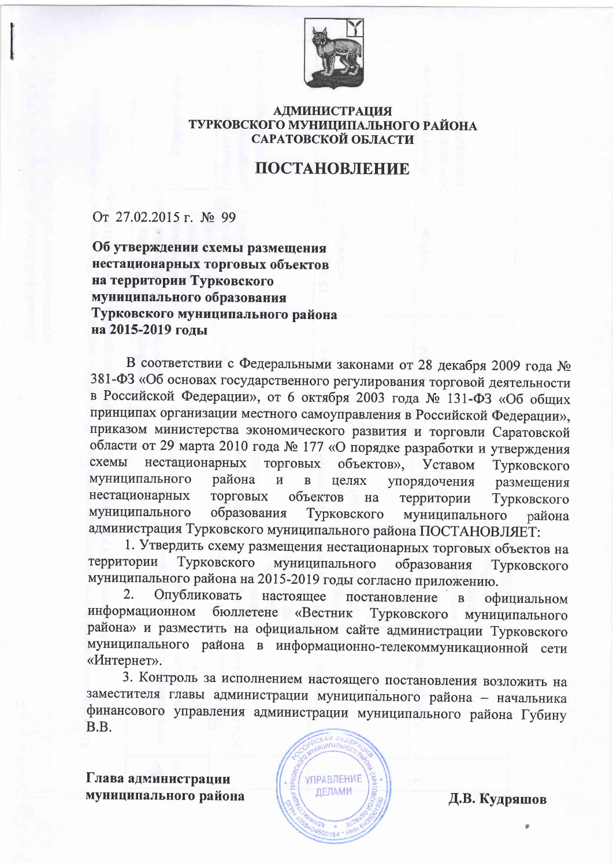

## **АДМИНИСТРАЦИЯ** ТУРКОВСКОГО МУНИЦИПАЛЬНОГО РАЙОНА САРАТОВСКОЙ ОБЛАСТИ

## ПОСТАНОВЛЕНИЕ

От 27.02.2015 г. № 99

Об утверждении схемы размещения нестационарных торговых объектов на территории Турковского муниципального образования Турковского муниципального района на 2015-2019 годы

В соответствии с Федеральными законами от 28 декабря 2009 года № 381-ФЗ «Об основах государственного регулирования торговой деятельности в Российской Федерации», от 6 октября 2003 года № 131-ФЗ «Об общих принципах организации местного самоуправления в Российской Федерации», приказом министерства экономического развития и торговли Саратовской области от 29 марта 2010 года № 177 «О порядке разработки и утверждения схемы нестационарных ТОРГОВЫХ объектов», Уставом Турковского муниципального района  $\overline{M}$  $\overline{B}$ целях упорядочения размещения нестационарных **ТОРГОВЫХ** объектов территории на Турковского муниципального образования Турковского муниципального района администрация Турковского муниципального района ПОСТАНОВЛЯЕТ:

1. Утвердить схему размещения нестационарных торговых объектов на территории Турковского муниципального образования Турковского муниципального района на 2015-2019 годы согласно приложению.

 $\overline{2}$ . Опубликовать настоящее постановление официальном  $\overline{B}$ информационном бюллетене «Вестник Турковского муниципального района» и разместить на официальном сайте администрации Турковского муниципального района в информационно-телекоммуникационной сети «Интернет».

3. Контроль за исполнением настоящего постановления возложить на заместителя главы администрации муниципального района - начальника финансового управления администрации муниципального района Губину B.B.



Д.В. Кудряшов

Глава администрации муниципального района